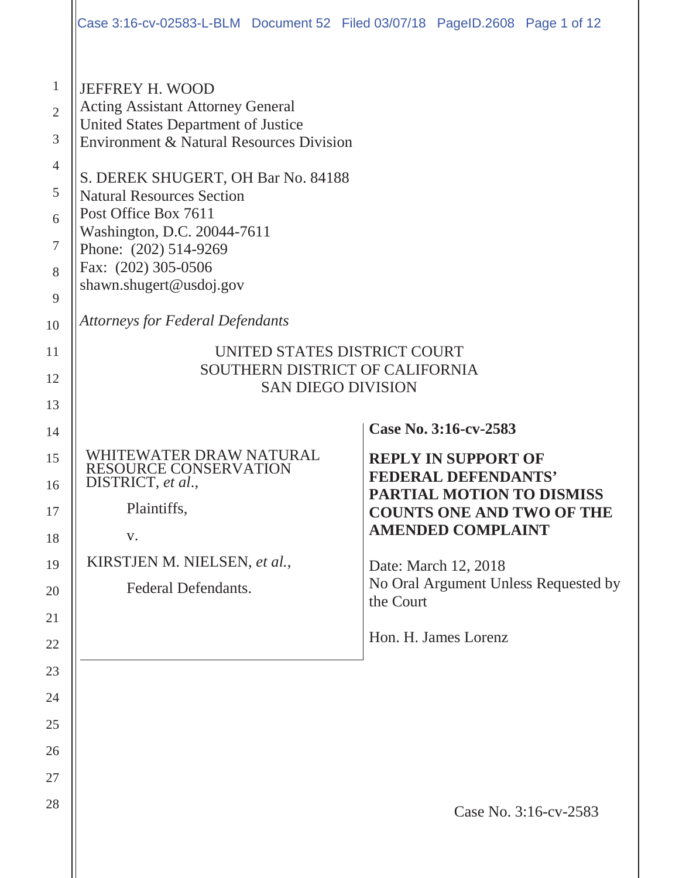|                                                                                                 | Case 3:16-cv-02583-L-BLM Document 52 Filed 03/07/18 PageID.2608 Page 1 of 12                                                                                                                                                                                                                                                                                                                                                                            |                                                                      |  |  |
|-------------------------------------------------------------------------------------------------|---------------------------------------------------------------------------------------------------------------------------------------------------------------------------------------------------------------------------------------------------------------------------------------------------------------------------------------------------------------------------------------------------------------------------------------------------------|----------------------------------------------------------------------|--|--|
| $\mathbf{1}$<br>$\overline{2}$<br>3<br>$\overline{4}$<br>5<br>6<br>$\tau$<br>8<br>9<br>10<br>11 | <b>JEFFREY H. WOOD</b><br><b>Acting Assistant Attorney General</b><br>United States Department of Justice<br><b>Environment &amp; Natural Resources Division</b><br>S. DEREK SHUGERT, OH Bar No. 84188<br><b>Natural Resources Section</b><br>Post Office Box 7611<br>Washington, D.C. 20044-7611<br>Phone: (202) 514-9269<br>Fax: (202) 305-0506<br>shawn.shugert@usdoj.gov<br><b>Attorneys for Federal Defendants</b><br>UNITED STATES DISTRICT COURT |                                                                      |  |  |
| 12                                                                                              | SOUTHERN DISTRICT OF CALIFORNIA<br><b>SAN DIEGO DIVISION</b>                                                                                                                                                                                                                                                                                                                                                                                            |                                                                      |  |  |
| 13                                                                                              |                                                                                                                                                                                                                                                                                                                                                                                                                                                         |                                                                      |  |  |
| 14                                                                                              | WHITEWATER DRAW NATURAL                                                                                                                                                                                                                                                                                                                                                                                                                                 | Case No. 3:16-cv-2583                                                |  |  |
| 15<br>16                                                                                        | RESOURCE CONSERVATION<br>DISTRICT, et al.,                                                                                                                                                                                                                                                                                                                                                                                                              | <b>REPLY IN SUPPORT OF</b><br><b>FEDERAL DEFENDANTS'</b>             |  |  |
| 17                                                                                              | Plaintiffs,                                                                                                                                                                                                                                                                                                                                                                                                                                             | <b>PARTIAL MOTION TO DISMISS</b><br><b>COUNTS ONE AND TWO OF THE</b> |  |  |
| 18                                                                                              | V.                                                                                                                                                                                                                                                                                                                                                                                                                                                      | <b>AMENDED COMPLAINT</b>                                             |  |  |
| 19                                                                                              | KIRSTJEN M. NIELSEN, et al.,                                                                                                                                                                                                                                                                                                                                                                                                                            | Date: March 12, 2018                                                 |  |  |
| 20                                                                                              | Federal Defendants.                                                                                                                                                                                                                                                                                                                                                                                                                                     | No Oral Argument Unless Requested by<br>the Court                    |  |  |
| 21                                                                                              |                                                                                                                                                                                                                                                                                                                                                                                                                                                         | Hon. H. James Lorenz                                                 |  |  |
| 22<br>23                                                                                        |                                                                                                                                                                                                                                                                                                                                                                                                                                                         |                                                                      |  |  |
|                                                                                                 |                                                                                                                                                                                                                                                                                                                                                                                                                                                         |                                                                      |  |  |
|                                                                                                 |                                                                                                                                                                                                                                                                                                                                                                                                                                                         |                                                                      |  |  |
| 24                                                                                              |                                                                                                                                                                                                                                                                                                                                                                                                                                                         |                                                                      |  |  |
| 25                                                                                              |                                                                                                                                                                                                                                                                                                                                                                                                                                                         |                                                                      |  |  |
| 26                                                                                              |                                                                                                                                                                                                                                                                                                                                                                                                                                                         |                                                                      |  |  |
| 27<br>28                                                                                        |                                                                                                                                                                                                                                                                                                                                                                                                                                                         | Case No. 3:16-cv-2583                                                |  |  |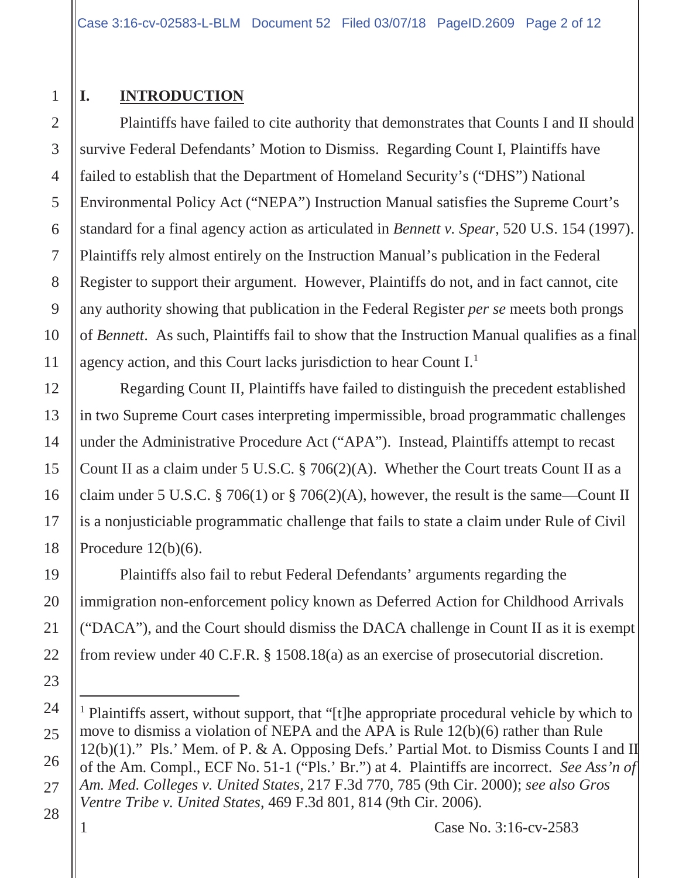# **I. INTRODUCTION**

Plaintiffs have failed to cite authority that demonstrates that Counts I and II should survive Federal Defendants' Motion to Dismiss. Regarding Count I, Plaintiffs have failed to establish that the Department of Homeland Security's ("DHS") National Environmental Policy Act ("NEPA") Instruction Manual satisfies the Supreme Court's standard for a final agency action as articulated in *Bennett v. Spear*, 520 U.S. 154 (1997). Plaintiffs rely almost entirely on the Instruction Manual's publication in the Federal Register to support their argument. However, Plaintiffs do not, and in fact cannot, cite any authority showing that publication in the Federal Register *per se* meets both prongs of *Bennett*. As such, Plaintiffs fail to show that the Instruction Manual qualifies as a final agency action, and this Court lacks jurisdiction to hear Count I.1

Regarding Count II, Plaintiffs have failed to distinguish the precedent established in two Supreme Court cases interpreting impermissible, broad programmatic challenges under the Administrative Procedure Act ("APA"). Instead, Plaintiffs attempt to recast Count II as a claim under 5 U.S.C.  $\S 706(2)(A)$ . Whether the Court treats Count II as a claim under 5 U.S.C. § 706(1) or § 706(2)(A), however, the result is the same—Count II is a nonjusticiable programmatic challenge that fails to state a claim under Rule of Civil Procedure  $12(b)(6)$ .

Plaintiffs also fail to rebut Federal Defendants' arguments regarding the immigration non-enforcement policy known as Deferred Action for Childhood Arrivals ("DACA"), and the Court should dismiss the DACA challenge in Count II as it is exempt from review under 40 C.F.R. § 1508.18(a) as an exercise of prosecutorial discretion.

<sup>&</sup>lt;sup>1</sup> Plaintiffs assert, without support, that "[t]he appropriate procedural vehicle by which to move to dismiss a violation of NEPA and the APA is Rule 12(b)(6) rather than Rule 12(b)(1)." Pls.' Mem. of P. & A. Opposing Defs.' Partial Mot. to Dismiss Counts I and II of the Am. Compl., ECF No. 51-1 ("Pls.' Br.") at 4. Plaintiffs are incorrect. *See Ass'n of Am. Med. Colleges v. United States*, 217 F.3d 770, 785 (9th Cir. 2000); *see also Gros Ventre Tribe v. United States*, 469 F.3d 801, 814 (9th Cir. 2006).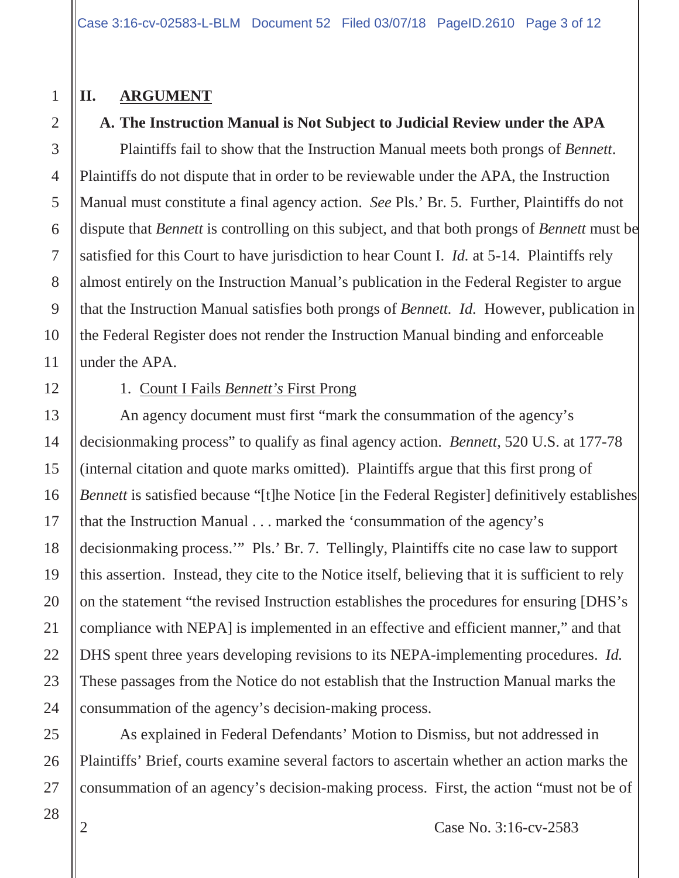## **II. ARGUMENT**

## **A. The Instruction Manual is Not Subject to Judicial Review under the APA**

Plaintiffs fail to show that the Instruction Manual meets both prongs of *Bennett*. Plaintiffs do not dispute that in order to be reviewable under the APA, the Instruction Manual must constitute a final agency action. *See* Pls.' Br. 5. Further, Plaintiffs do not dispute that *Bennett* is controlling on this subject, and that both prongs of *Bennett* must be satisfied for this Court to have jurisdiction to hear Count I. *Id.* at 5-14. Plaintiffs rely almost entirely on the Instruction Manual's publication in the Federal Register to argue that the Instruction Manual satisfies both prongs of *Bennett. Id.* However, publication in the Federal Register does not render the Instruction Manual binding and enforceable under the APA.

## 1. Count I Fails *Bennett's* First Prong

An agency document must first "mark the consummation of the agency's decisionmaking process" to qualify as final agency action. *Bennett*, 520 U.S. at 177-78 (internal citation and quote marks omitted). Plaintiffs argue that this first prong of *Bennett* is satisfied because "[t]he Notice [in the Federal Register] definitively establishes that the Instruction Manual . . . marked the 'consummation of the agency's decisionmaking process.'" Pls.' Br. 7. Tellingly, Plaintiffs cite no case law to support this assertion. Instead, they cite to the Notice itself, believing that it is sufficient to rely on the statement "the revised Instruction establishes the procedures for ensuring [DHS's compliance with NEPA] is implemented in an effective and efficient manner," and that DHS spent three years developing revisions to its NEPA-implementing procedures. *Id.* These passages from the Notice do not establish that the Instruction Manual marks the consummation of the agency's decision-making process.

As explained in Federal Defendants' Motion to Dismiss, but not addressed in Plaintiffs' Brief, courts examine several factors to ascertain whether an action marks the consummation of an agency's decision-making process. First, the action "must not be of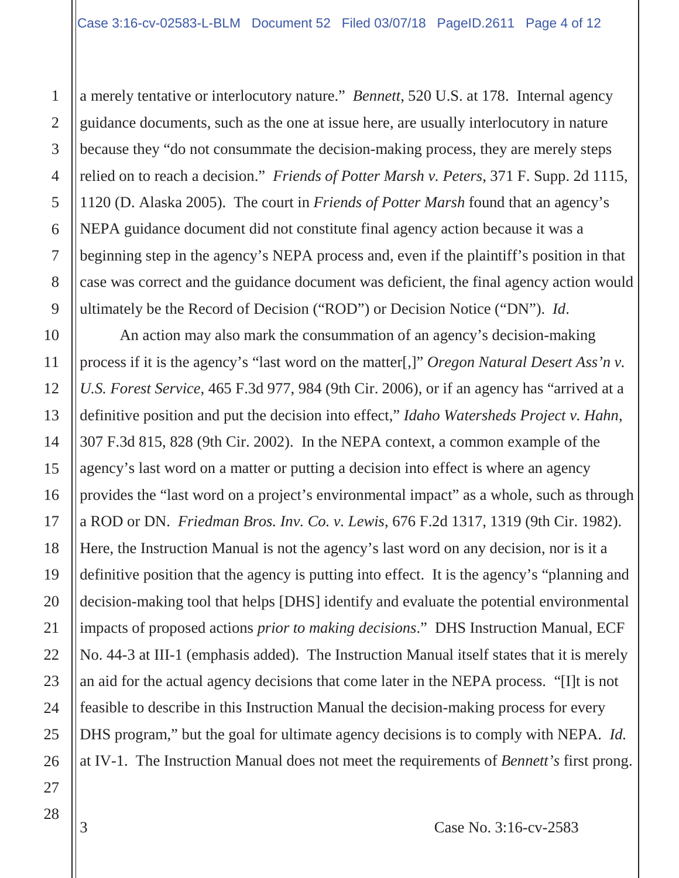a merely tentative or interlocutory nature." *Bennett*, 520 U.S. at 178. Internal agency guidance documents, such as the one at issue here, are usually interlocutory in nature because they "do not consummate the decision-making process, they are merely steps relied on to reach a decision." *Friends of Potter Marsh v. Peters*, 371 F. Supp. 2d 1115, 1120 (D. Alaska 2005). The court in *Friends of Potter Marsh* found that an agency's NEPA guidance document did not constitute final agency action because it was a beginning step in the agency's NEPA process and, even if the plaintiff's position in that case was correct and the guidance document was deficient, the final agency action would ultimately be the Record of Decision ("ROD") or Decision Notice ("DN"). *Id*.

An action may also mark the consummation of an agency's decision-making process if it is the agency's "last word on the matter[,]" *Oregon Natural Desert Ass'n v. U.S. Forest Service*, 465 F.3d 977, 984 (9th Cir. 2006), or if an agency has "arrived at a definitive position and put the decision into effect," *Idaho Watersheds Project v. Hahn*, 307 F.3d 815, 828 (9th Cir. 2002). In the NEPA context, a common example of the agency's last word on a matter or putting a decision into effect is where an agency provides the "last word on a project's environmental impact" as a whole, such as through a ROD or DN. *Friedman Bros. Inv. Co. v. Lewis*, 676 F.2d 1317, 1319 (9th Cir. 1982). Here, the Instruction Manual is not the agency's last word on any decision, nor is it a definitive position that the agency is putting into effect. It is the agency's "planning and decision-making tool that helps [DHS] identify and evaluate the potential environmental impacts of proposed actions *prior to making decisions*." DHS Instruction Manual, ECF No. 44-3 at III-1 (emphasis added). The Instruction Manual itself states that it is merely an aid for the actual agency decisions that come later in the NEPA process. "[I]t is not feasible to describe in this Instruction Manual the decision-making process for every DHS program," but the goal for ultimate agency decisions is to comply with NEPA. *Id.* at IV-1. The Instruction Manual does not meet the requirements of *Bennett's* first prong.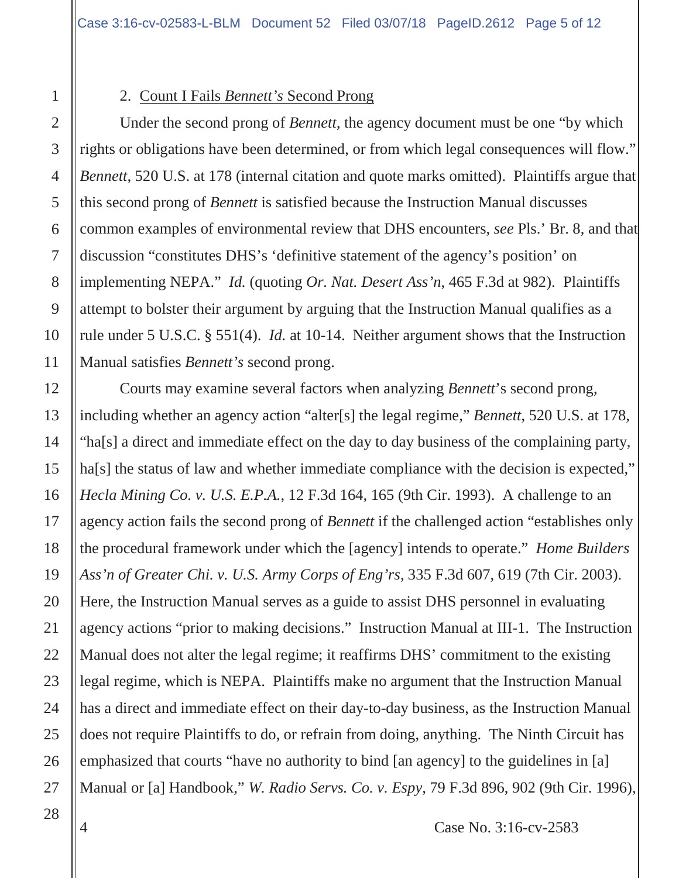#### 2. Count I Fails *Bennett's* Second Prong

Under the second prong of *Bennett*, the agency document must be one "by which rights or obligations have been determined, or from which legal consequences will flow." *Bennett*, 520 U.S. at 178 (internal citation and quote marks omitted). Plaintiffs argue that this second prong of *Bennett* is satisfied because the Instruction Manual discusses common examples of environmental review that DHS encounters, *see* Pls.' Br. 8, and that discussion "constitutes DHS's 'definitive statement of the agency's position' on implementing NEPA." *Id.* (quoting *Or. Nat. Desert Ass'n*, 465 F.3d at 982). Plaintiffs attempt to bolster their argument by arguing that the Instruction Manual qualifies as a rule under 5 U.S.C. § 551(4). *Id.* at 10-14. Neither argument shows that the Instruction Manual satisfies *Bennett's* second prong.

Courts may examine several factors when analyzing *Bennett*'s second prong, including whether an agency action "alter[s] the legal regime," *Bennett*, 520 U.S. at 178, "ha[s] a direct and immediate effect on the day to day business of the complaining party, ha[s] the status of law and whether immediate compliance with the decision is expected," *Hecla Mining Co. v. U.S. E.P.A.*, 12 F.3d 164, 165 (9th Cir. 1993). A challenge to an agency action fails the second prong of *Bennett* if the challenged action "establishes only the procedural framework under which the [agency] intends to operate." *Home Builders Ass'n of Greater Chi. v. U.S. Army Corps of Eng'rs*, 335 F.3d 607, 619 (7th Cir. 2003). Here, the Instruction Manual serves as a guide to assist DHS personnel in evaluating agency actions "prior to making decisions." Instruction Manual at III-1. The Instruction Manual does not alter the legal regime; it reaffirms DHS' commitment to the existing legal regime, which is NEPA. Plaintiffs make no argument that the Instruction Manual has a direct and immediate effect on their day-to-day business, as the Instruction Manual does not require Plaintiffs to do, or refrain from doing, anything. The Ninth Circuit has emphasized that courts "have no authority to bind [an agency] to the guidelines in [a] Manual or [a] Handbook," *W. Radio Servs. Co. v. Espy*, 79 F.3d 896, 902 (9th Cir. 1996),

1

2

3

4

5

6

7

8

9

10

11

12

13

14

15

16

17

18

19

20

21

22

23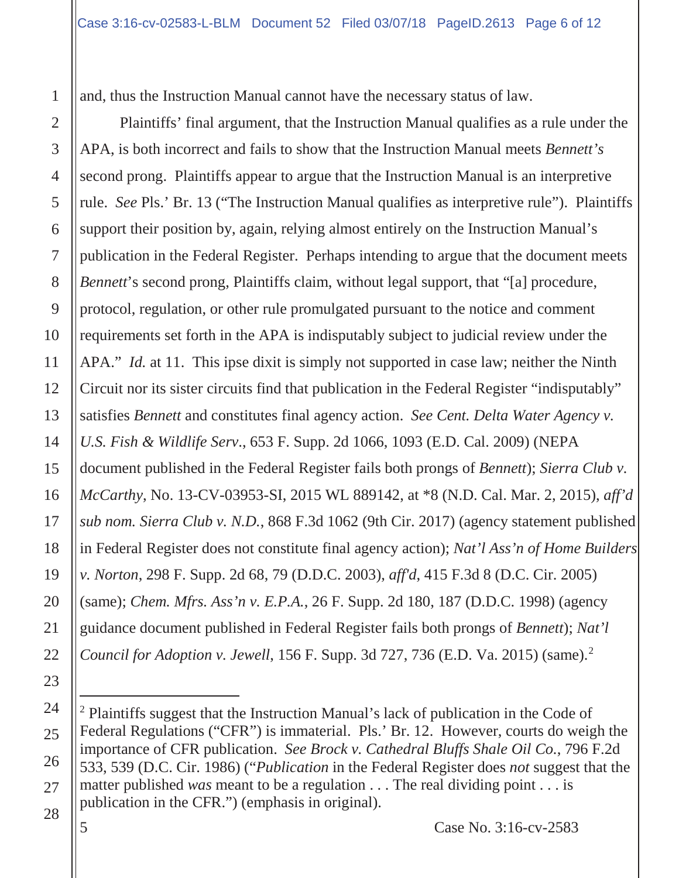and, thus the Instruction Manual cannot have the necessary status of law.

Plaintiffs' final argument, that the Instruction Manual qualifies as a rule under the APA, is both incorrect and fails to show that the Instruction Manual meets *Bennett's*  second prong. Plaintiffs appear to argue that the Instruction Manual is an interpretive rule. *See* Pls.' Br. 13 ("The Instruction Manual qualifies as interpretive rule"). Plaintiffs support their position by, again, relying almost entirely on the Instruction Manual's publication in the Federal Register. Perhaps intending to argue that the document meets *Bennett*'s second prong, Plaintiffs claim, without legal support, that "[a] procedure, protocol, regulation, or other rule promulgated pursuant to the notice and comment requirements set forth in the APA is indisputably subject to judicial review under the APA." *Id.* at 11. This ipse dixit is simply not supported in case law; neither the Ninth Circuit nor its sister circuits find that publication in the Federal Register "indisputably" satisfies *Bennett* and constitutes final agency action. *See Cent. Delta Water Agency v. U.S. Fish & Wildlife Serv*., 653 F. Supp. 2d 1066, 1093 (E.D. Cal. 2009) (NEPA document published in the Federal Register fails both prongs of *Bennett*); *Sierra Club v. McCarthy*, No. 13-CV-03953-SI, 2015 WL 889142, at \*8 (N.D. Cal. Mar. 2, 2015), *aff'd sub nom. Sierra Club v. N.D.*, 868 F.3d 1062 (9th Cir. 2017) (agency statement published in Federal Register does not constitute final agency action); *Nat'l Ass'n of Home Builders v. Norton*, 298 F. Supp. 2d 68, 79 (D.D.C. 2003), *aff'd*, 415 F.3d 8 (D.C. Cir. 2005) (same); *Chem. Mfrs. Ass'n v. E.P.A.*, 26 F. Supp. 2d 180, 187 (D.D.C. 1998) (agency guidance document published in Federal Register fails both prongs of *Bennett*); *Nat'l Council for Adoption v. Jewell*, 156 F. Supp. 3d 727, 736 (E.D. Va. 2015) (same).<sup>2</sup>

<sup>2</sup> Plaintiffs suggest that the Instruction Manual's lack of publication in the Code of Federal Regulations ("CFR") is immaterial. Pls.' Br. 12. However, courts do weigh the importance of CFR publication. *See Brock v. Cathedral Bluffs Shale Oil Co.*, 796 F.2d 533, 539 (D.C. Cir. 1986) ("*Publication* in the Federal Register does *not* suggest that the matter published *was* meant to be a regulation . . . The real dividing point . . . is publication in the CFR.") (emphasis in original).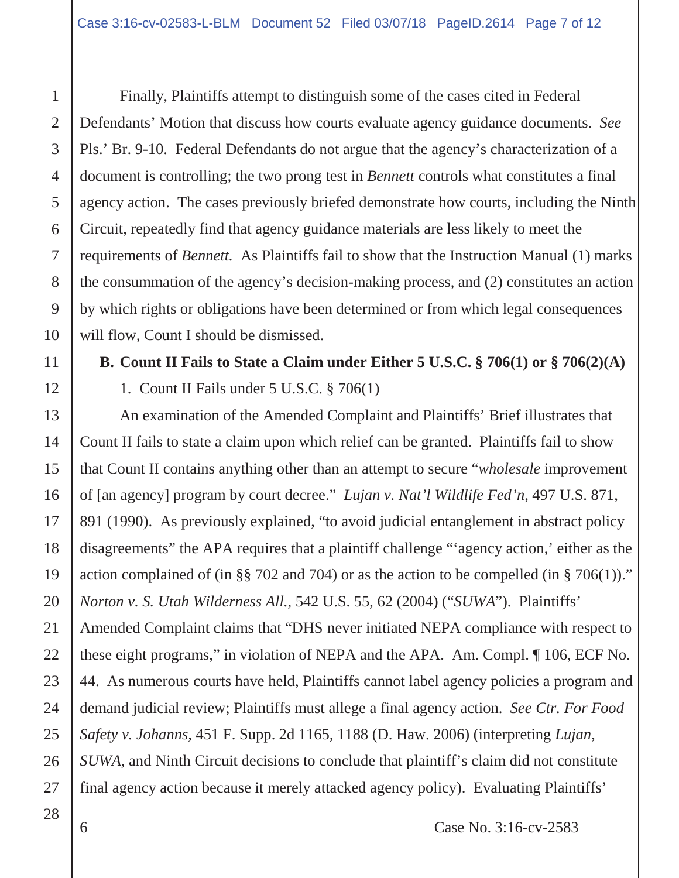Finally, Plaintiffs attempt to distinguish some of the cases cited in Federal Defendants' Motion that discuss how courts evaluate agency guidance documents. *See*  Pls.' Br. 9-10. Federal Defendants do not argue that the agency's characterization of a document is controlling; the two prong test in *Bennett* controls what constitutes a final agency action. The cases previously briefed demonstrate how courts, including the Ninth Circuit, repeatedly find that agency guidance materials are less likely to meet the requirements of *Bennett.* As Plaintiffs fail to show that the Instruction Manual (1) marks the consummation of the agency's decision-making process, and (2) constitutes an action by which rights or obligations have been determined or from which legal consequences will flow, Count I should be dismissed.

# **B. Count II Fails to State a Claim under Either 5 U.S.C. § 706(1) or § 706(2)(A)**

1. Count II Fails under 5 U.S.C. § 706(1)

An examination of the Amended Complaint and Plaintiffs' Brief illustrates that Count II fails to state a claim upon which relief can be granted. Plaintiffs fail to show that Count II contains anything other than an attempt to secure "*wholesale* improvement of [an agency] program by court decree." *Lujan v. Nat'l Wildlife Fed'n*, 497 U.S. 871, 891 (1990). As previously explained, "to avoid judicial entanglement in abstract policy disagreements" the APA requires that a plaintiff challenge "'agency action,' either as the action complained of (in §§ 702 and 704) or as the action to be compelled (in § 706(1))." *Norton v. S. Utah Wilderness All.*, 542 U.S. 55, 62 (2004) ("*SUWA*"). Plaintiffs' Amended Complaint claims that "DHS never initiated NEPA compliance with respect to these eight programs," in violation of NEPA and the APA. Am. Compl. ¶ 106, ECF No. 44. As numerous courts have held, Plaintiffs cannot label agency policies a program and demand judicial review; Plaintiffs must allege a final agency action. *See Ctr. For Food Safety v. Johanns,* 451 F. Supp. 2d 1165, 1188 (D. Haw. 2006) (interpreting *Lujan*, *SUWA*, and Ninth Circuit decisions to conclude that plaintiff's claim did not constitute final agency action because it merely attacked agency policy). Evaluating Plaintiffs'

1

2

3

4

5

6

7

8

9

10

11

12

13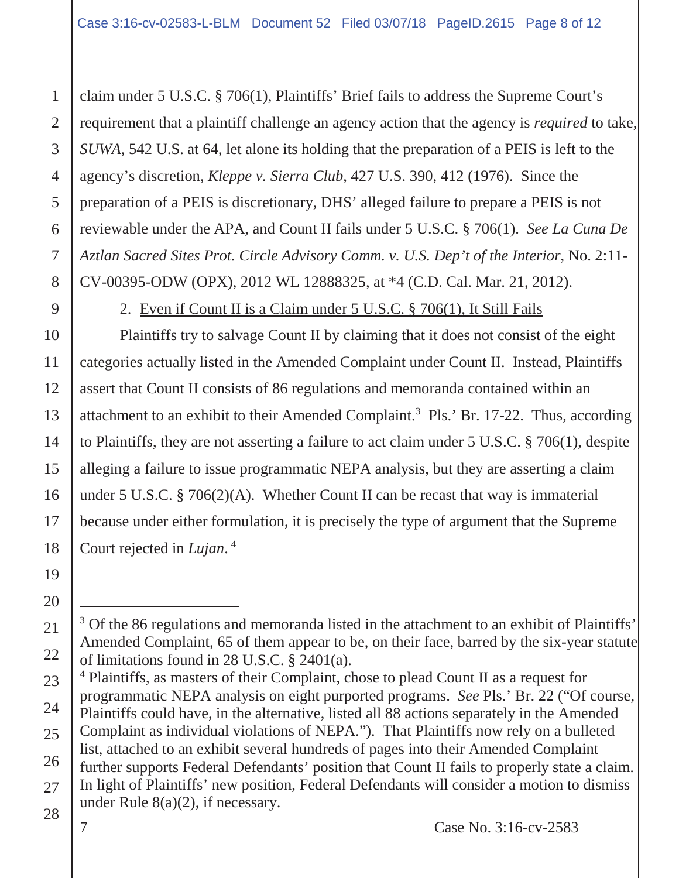claim under 5 U.S.C. § 706(1), Plaintiffs' Brief fails to address the Supreme Court's requirement that a plaintiff challenge an agency action that the agency is *required* to take, *SUWA*, 542 U.S. at 64, let alone its holding that the preparation of a PEIS is left to the agency's discretion, *Kleppe v. Sierra Club*, 427 U.S. 390, 412 (1976). Since the preparation of a PEIS is discretionary, DHS' alleged failure to prepare a PEIS is not reviewable under the APA, and Count II fails under 5 U.S.C. § 706(1). *See La Cuna De Aztlan Sacred Sites Prot. Circle Advisory Comm. v. U.S. Dep't of the Interior*, No. 2:11- CV-00395-ODW (OPX), 2012 WL 12888325, at \*4 (C.D. Cal. Mar. 21, 2012).

2. Even if Count II is a Claim under 5 U.S.C. § 706(1), It Still Fails

Plaintiffs try to salvage Count II by claiming that it does not consist of the eight categories actually listed in the Amended Complaint under Count II. Instead, Plaintiffs assert that Count II consists of 86 regulations and memoranda contained within an attachment to an exhibit to their Amended Complaint.3 Pls.' Br. 17-22. Thus, according to Plaintiffs, they are not asserting a failure to act claim under 5 U.S.C. § 706(1), despite alleging a failure to issue programmatic NEPA analysis, but they are asserting a claim under 5 U.S.C. § 706(2)(A). Whether Count II can be recast that way is immaterial because under either formulation, it is precisely the type of argument that the Supreme Court rejected in *Lujan*. <sup>4</sup>

<sup>4</sup> Plaintiffs, as masters of their Complaint, chose to plead Count II as a request for programmatic NEPA analysis on eight purported programs. *See* Pls.' Br. 22 ("Of course, Plaintiffs could have, in the alternative, listed all 88 actions separately in the Amended Complaint as individual violations of NEPA."). That Plaintiffs now rely on a bulleted list, attached to an exhibit several hundreds of pages into their Amended Complaint further supports Federal Defendants' position that Count II fails to properly state a claim. In light of Plaintiffs' new position, Federal Defendants will consider a motion to dismiss under Rule 8(a)(2), if necessary.

7 Case No. 3:16-cv-2583

1

2

3

4

5

6

7

8

9

10

11

12

13

14

<sup>&</sup>lt;sup>3</sup> Of the 86 regulations and memoranda listed in the attachment to an exhibit of Plaintiffs' Amended Complaint, 65 of them appear to be, on their face, barred by the six-year statute of limitations found in 28 U.S.C. § 2401(a).

<sup>16</sup> 17 18 19 20 21 22 23 24 25 26 27 28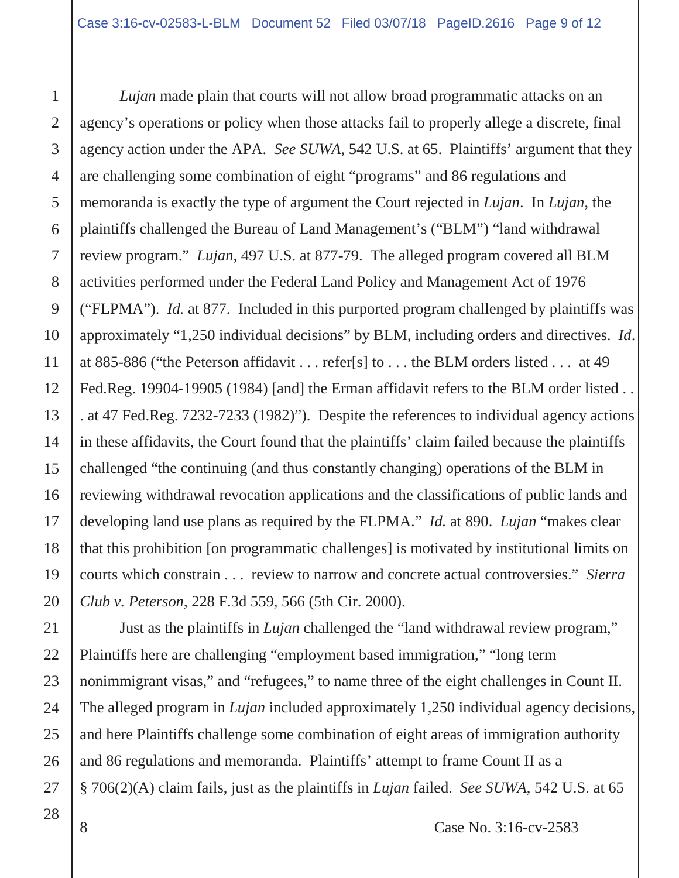*Lujan* made plain that courts will not allow broad programmatic attacks on an agency's operations or policy when those attacks fail to properly allege a discrete, final agency action under the APA. *See SUWA,* 542 U.S. at 65. Plaintiffs' argument that they are challenging some combination of eight "programs" and 86 regulations and memoranda is exactly the type of argument the Court rejected in *Lujan*. In *Lujan*, the plaintiffs challenged the Bureau of Land Management's ("BLM") "land withdrawal review program." *Lujan,* 497 U.S. at 877-79. The alleged program covered all BLM activities performed under the Federal Land Policy and Management Act of 1976 ("FLPMA"). *Id.* at 877. Included in this purported program challenged by plaintiffs was approximately "1,250 individual decisions" by BLM, including orders and directives. *Id*. at 885-886 ("the Peterson affidavit . . . refer[s] to . . . the BLM orders listed . . . at 49 Fed.Reg. 19904-19905 (1984) [and] the Erman affidavit refers to the BLM order listed . . . at 47 Fed.Reg. 7232-7233 (1982)"). Despite the references to individual agency actions in these affidavits, the Court found that the plaintiffs' claim failed because the plaintiffs challenged "the continuing (and thus constantly changing) operations of the BLM in reviewing withdrawal revocation applications and the classifications of public lands and developing land use plans as required by the FLPMA." *Id.* at 890. *Lujan* "makes clear that this prohibition [on programmatic challenges] is motivated by institutional limits on courts which constrain . . . review to narrow and concrete actual controversies." *Sierra Club v. Peterson*, 228 F.3d 559, 566 (5th Cir. 2000).

Just as the plaintiffs in *Lujan* challenged the "land withdrawal review program," Plaintiffs here are challenging "employment based immigration," "long term nonimmigrant visas," and "refugees," to name three of the eight challenges in Count II. The alleged program in *Lujan* included approximately 1,250 individual agency decisions, and here Plaintiffs challenge some combination of eight areas of immigration authority and 86 regulations and memoranda. Plaintiffs' attempt to frame Count II as a § 706(2)(A) claim fails, just as the plaintiffs in *Lujan* failed. *See SUWA*, 542 U.S. at 65

28

1

2

3

4

5

6

7

8

9

10

11

12

13

14

15

16

17

18

19

20

21

22

23

24

25

26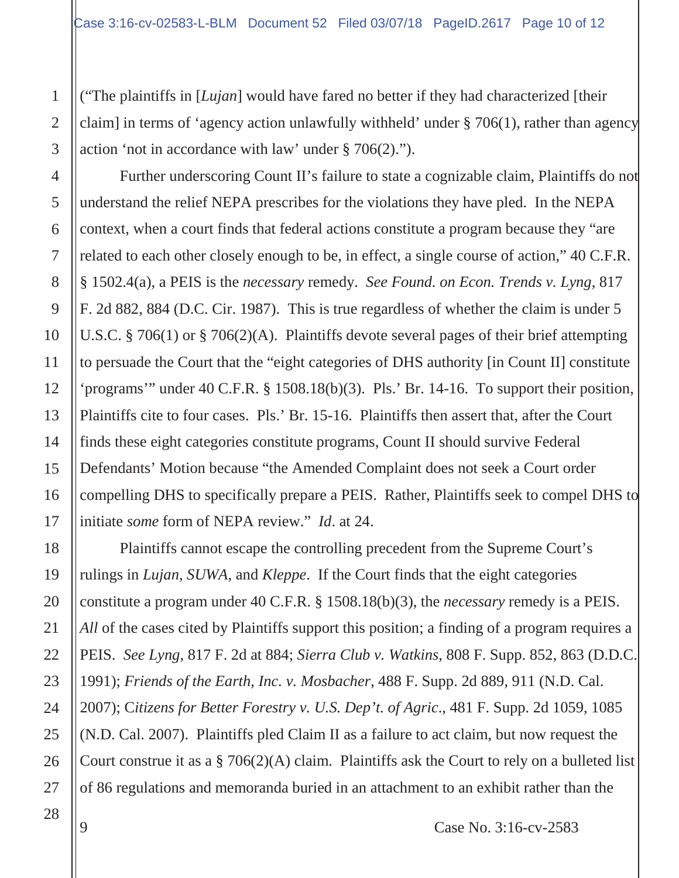("The plaintiffs in [*Lujan*] would have fared no better if they had characterized [their claim] in terms of 'agency action unlawfully withheld' under § 706(1), rather than agency action 'not in accordance with law' under § 706(2).").

Further underscoring Count II's failure to state a cognizable claim, Plaintiffs do not understand the relief NEPA prescribes for the violations they have pled. In the NEPA context, when a court finds that federal actions constitute a program because they "are related to each other closely enough to be, in effect, a single course of action," 40 C.F.R. § 1502.4(a), a PEIS is the *necessary* remedy. *See Found. on Econ. Trends v. Lyng*, 817 F. 2d 882, 884 (D.C. Cir. 1987). This is true regardless of whether the claim is under 5 U.S.C. § 706(1) or § 706(2)(A). Plaintiffs devote several pages of their brief attempting to persuade the Court that the "eight categories of DHS authority [in Count II] constitute 'programs'" under 40 C.F.R. § 1508.18(b)(3). Pls.' Br. 14-16. To support their position, Plaintiffs cite to four cases. Pls.' Br. 15-16. Plaintiffs then assert that, after the Court finds these eight categories constitute programs, Count II should survive Federal Defendants' Motion because "the Amended Complaint does not seek a Court order compelling DHS to specifically prepare a PEIS. Rather, Plaintiffs seek to compel DHS to initiate *some* form of NEPA review." *Id*. at 24.

Plaintiffs cannot escape the controlling precedent from the Supreme Court's rulings in *Lujan, SUWA*, and *Kleppe*. If the Court finds that the eight categories constitute a program under 40 C.F.R. § 1508.18(b)(3), the *necessary* remedy is a PEIS. *All* of the cases cited by Plaintiffs support this position; a finding of a program requires a PEIS. *See Lyng*, 817 F. 2d at 884; *Sierra Club v. Watkins*, 808 F. Supp. 852, 863 (D.D.C. 1991); *Friends of the Earth, Inc. v. Mosbacher*, 488 F. Supp. 2d 889, 911 (N.D. Cal. 2007); C*itizens for Better Forestry v. U.S. Dep't. of Agric*., 481 F. Supp. 2d 1059, 1085 (N.D. Cal. 2007). Plaintiffs pled Claim II as a failure to act claim, but now request the Court construe it as a § 706(2)(A) claim. Plaintiffs ask the Court to rely on a bulleted list of 86 regulations and memoranda buried in an attachment to an exhibit rather than the

1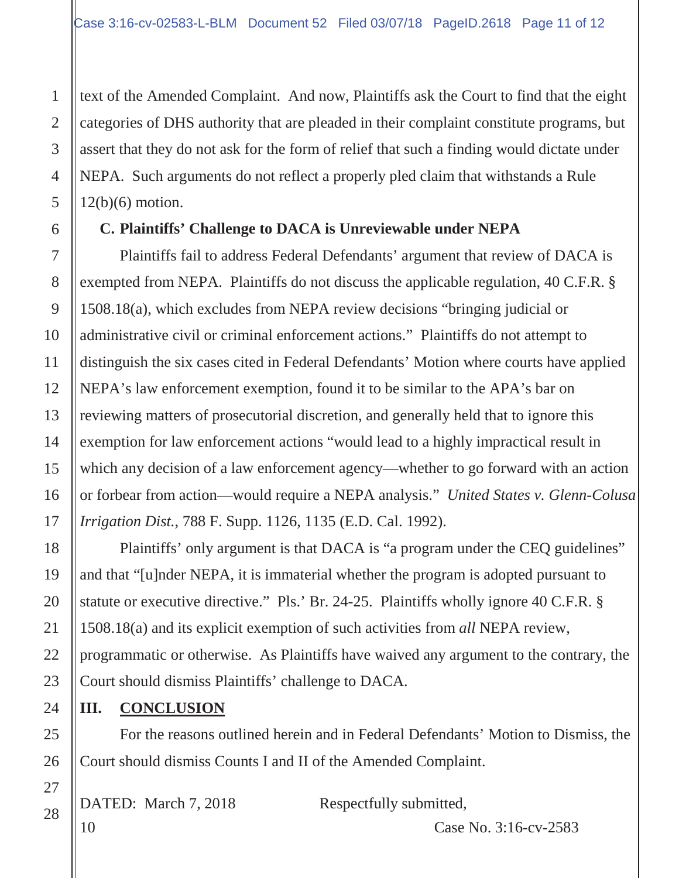text of the Amended Complaint. And now, Plaintiffs ask the Court to find that the eight categories of DHS authority that are pleaded in their complaint constitute programs, but assert that they do not ask for the form of relief that such a finding would dictate under NEPA. Such arguments do not reflect a properly pled claim that withstands a Rule  $12(b)(6)$  motion.

## **C. Plaintiffs' Challenge to DACA is Unreviewable under NEPA**

Plaintiffs fail to address Federal Defendants' argument that review of DACA is exempted from NEPA. Plaintiffs do not discuss the applicable regulation, 40 C.F.R. § 1508.18(a), which excludes from NEPA review decisions "bringing judicial or administrative civil or criminal enforcement actions." Plaintiffs do not attempt to distinguish the six cases cited in Federal Defendants' Motion where courts have applied NEPA's law enforcement exemption, found it to be similar to the APA's bar on reviewing matters of prosecutorial discretion, and generally held that to ignore this exemption for law enforcement actions "would lead to a highly impractical result in which any decision of a law enforcement agency—whether to go forward with an action or forbear from action—would require a NEPA analysis." *United States v. Glenn-Colusa Irrigation Dist.*, 788 F. Supp. 1126, 1135 (E.D. Cal. 1992).

Plaintiffs' only argument is that DACA is "a program under the CEQ guidelines" and that "[u]nder NEPA, it is immaterial whether the program is adopted pursuant to statute or executive directive." Pls.' Br. 24-25. Plaintiffs wholly ignore 40 C.F.R. § 1508.18(a) and its explicit exemption of such activities from *all* NEPA review, programmatic or otherwise. As Plaintiffs have waived any argument to the contrary, the Court should dismiss Plaintiffs' challenge to DACA.

## **III. CONCLUSION**

For the reasons outlined herein and in Federal Defendants' Motion to Dismiss, the Court should dismiss Counts I and II of the Amended Complaint.

| DATED: March 7, 2018  |  |  |
|-----------------------|--|--|
| $\vert \cdot \rangle$ |  |  |

Respectfully submitted,

1

2

3

4

5

6

7

8

9

10

11

12

13

14

15

16

17

18

19

20

21

22

23

24

25

26

27

28